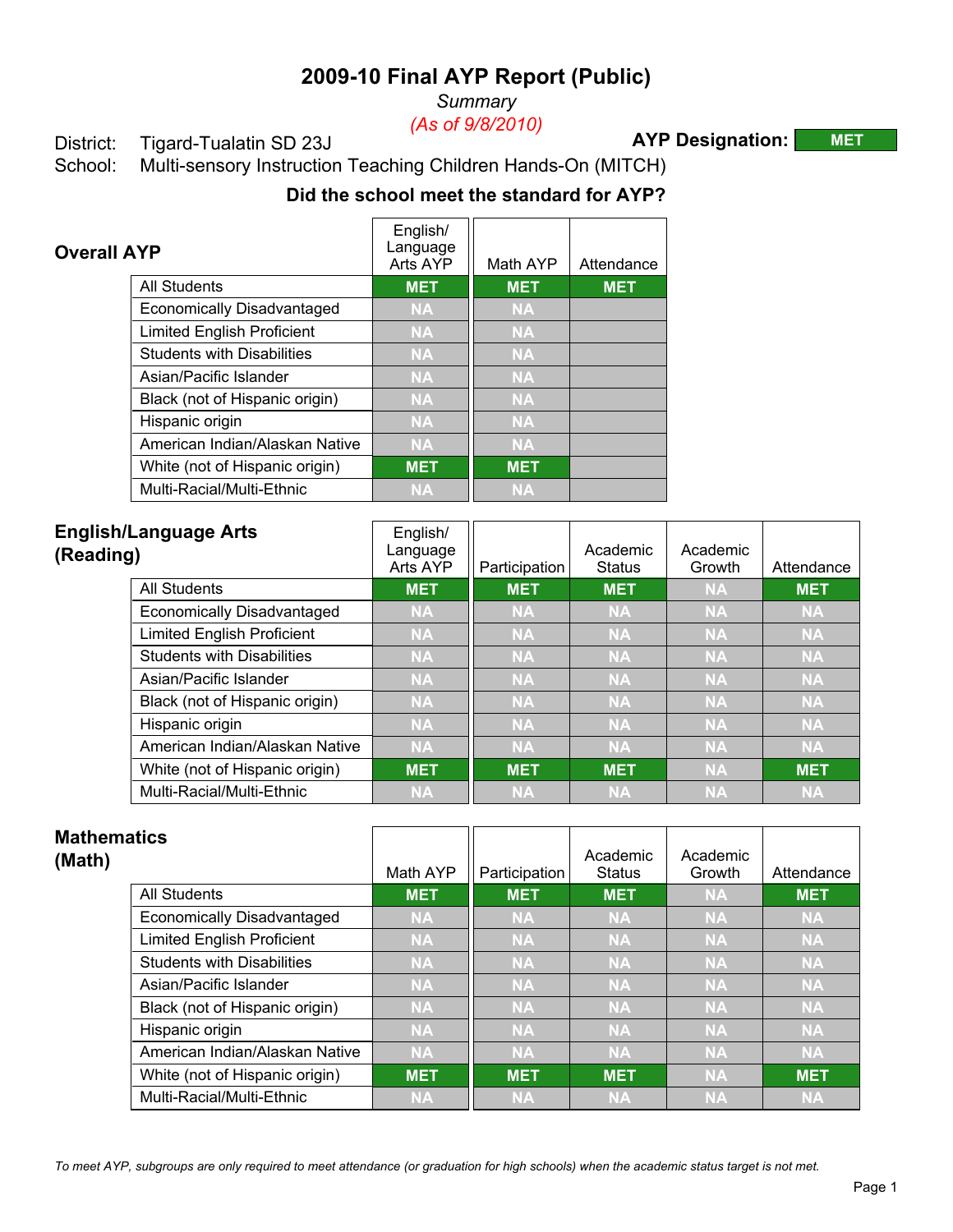*Summary*

*(As of 9/8/2010)*

### District: Tigard-Tualatin SD 23J

**AYP Designation: MET**

School: Multi-sensory Instruction Teaching Children Hands-On (MITCH)

# **Did the school meet the standard for AYP?**

| <b>Overall AYP</b> |                                   | English/<br>Language<br>Arts AYP | Math AYP   | Attendance |
|--------------------|-----------------------------------|----------------------------------|------------|------------|
|                    | <b>All Students</b>               | <b>MET</b>                       | <b>MET</b> | <b>MET</b> |
|                    | <b>Economically Disadvantaged</b> | <b>NA</b>                        | <b>NA</b>  |            |
|                    | <b>Limited English Proficient</b> | <b>NA</b>                        | <b>NA</b>  |            |
|                    | <b>Students with Disabilities</b> | <b>NA</b>                        | <b>NA</b>  |            |
|                    | Asian/Pacific Islander            | <b>NA</b>                        | <b>NA</b>  |            |
|                    | Black (not of Hispanic origin)    | <b>NA</b>                        | <b>NA</b>  |            |
|                    | Hispanic origin                   | <b>NA</b>                        | <b>NA</b>  |            |
|                    | American Indian/Alaskan Native    | <b>NA</b>                        | <b>NA</b>  |            |
|                    | White (not of Hispanic origin)    | <b>MET</b>                       | <b>MET</b> |            |
|                    | Multi-Racial/Multi-Ethnic         | <b>NA</b>                        | <b>NA</b>  |            |

| (Reading) | <b>English/Language Arts</b>      | English/<br>Language<br>Arts AYP | Participation | Academic<br><b>Status</b> | Academic<br>Growth | Attendance |
|-----------|-----------------------------------|----------------------------------|---------------|---------------------------|--------------------|------------|
|           | All Students                      | <b>MET</b>                       | <b>MET</b>    | <b>MET</b>                | <b>NA</b>          | <b>MET</b> |
|           | Economically Disadvantaged        | <b>NA</b>                        | <b>NA</b>     | <b>NA</b>                 | <b>NA</b>          | <b>NA</b>  |
|           | <b>Limited English Proficient</b> | <b>NA</b>                        | <b>NA</b>     | <b>NA</b>                 | <b>NA</b>          | <b>NA</b>  |
|           | <b>Students with Disabilities</b> | <b>NA</b>                        | <b>NA</b>     | <b>NA</b>                 | <b>NA</b>          | <b>NA</b>  |
|           | Asian/Pacific Islander            | <b>NA</b>                        | <b>NA</b>     | <b>NA</b>                 | <b>NA</b>          | <b>NA</b>  |
|           | Black (not of Hispanic origin)    | <b>NA</b>                        | <b>NA</b>     | <b>NA</b>                 | <b>NA</b>          | <b>NA</b>  |
|           | Hispanic origin                   | <b>NA</b>                        | <b>NA</b>     | <b>NA</b>                 | <b>NA</b>          | <b>NA</b>  |
|           | American Indian/Alaskan Native    | <b>NA</b>                        | <b>NA</b>     | <b>NA</b>                 | <b>NA</b>          | <b>NA</b>  |
|           | White (not of Hispanic origin)    | <b>MET</b>                       | <b>MET</b>    | <b>MET</b>                | <b>NA</b>          | <b>MET</b> |
|           | Multi-Racial/Multi-Ethnic         | <b>NA</b>                        | <b>NA</b>     | <b>NA</b>                 | <b>NA</b>          | <b>NA</b>  |

| <b>Mathematics</b><br>(Math)      | Math AYP   | Participation | Academic<br><b>Status</b> | Academic<br>Growth | Attendance |
|-----------------------------------|------------|---------------|---------------------------|--------------------|------------|
| <b>All Students</b>               | <b>MET</b> | <b>MET</b>    | <b>MET</b>                | <b>NA</b>          | <b>MET</b> |
| Economically Disadvantaged        | <b>NA</b>  | <b>NA</b>     | <b>NA</b>                 | <b>NA</b>          | <b>NA</b>  |
| <b>Limited English Proficient</b> | <b>NA</b>  | <b>NA</b>     | <b>NA</b>                 | <b>NA</b>          | <b>NA</b>  |
| <b>Students with Disabilities</b> | <b>NA</b>  | <b>NA</b>     | <b>NA</b>                 | <b>NA</b>          | <b>NA</b>  |
| Asian/Pacific Islander            | <b>NA</b>  | <b>NA</b>     | <b>NA</b>                 | <b>NA</b>          | <b>NA</b>  |
| Black (not of Hispanic origin)    | <b>NA</b>  | <b>NA</b>     | <b>NA</b>                 | <b>NA</b>          | <b>NA</b>  |
| Hispanic origin                   | <b>NA</b>  | <b>NA</b>     | <b>NA</b>                 | <b>NA</b>          | <b>NA</b>  |
| American Indian/Alaskan Native    | <b>NA</b>  | <b>NA</b>     | <b>NA</b>                 | <b>NA</b>          | <b>NA</b>  |
| White (not of Hispanic origin)    | <b>MET</b> | <b>MET</b>    | <b>MET</b>                | <b>NA</b>          | <b>MET</b> |
| Multi-Racial/Multi-Ethnic         | <b>NA</b>  | <b>NA</b>     | <b>NA</b>                 | <b>NA</b>          | <b>NA</b>  |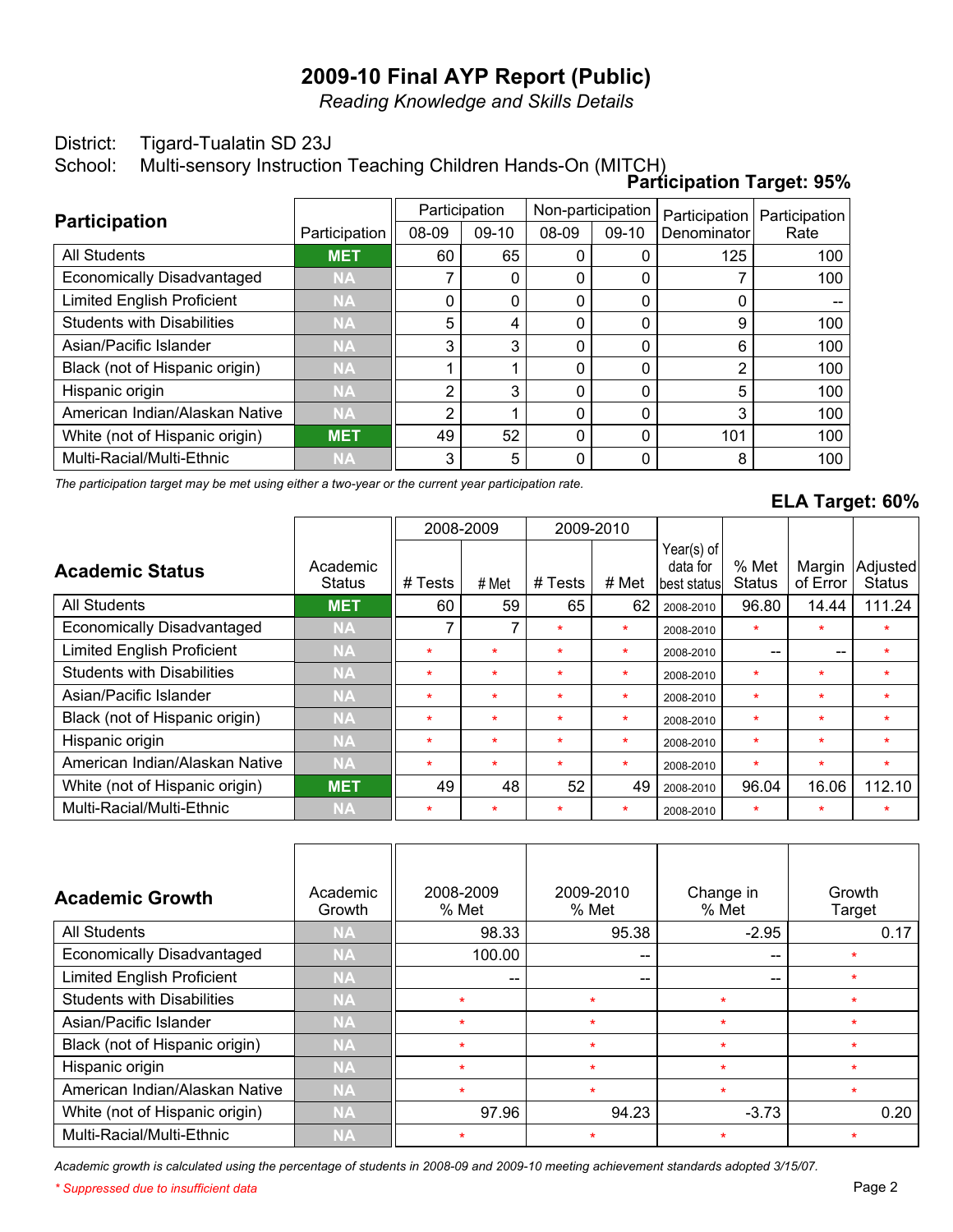*Reading Knowledge and Skills Details*

#### District: Tigard-Tualatin SD 23J

School: Multi-sensory Instruction Teaching Children Hands-On (MITCH)

|                                   |               |               |         |                   |         | <b>Participation Target: 95%</b> |               |
|-----------------------------------|---------------|---------------|---------|-------------------|---------|----------------------------------|---------------|
|                                   |               | Participation |         | Non-participation |         | Participation                    | Participation |
| <b>Participation</b>              | Participation | 08-09         | $09-10$ | 08-09             | $09-10$ | Denominator                      | Rate          |
| All Students                      | <b>MET</b>    | 60            | 65      |                   |         | 125                              | 100           |
| <b>Economically Disadvantaged</b> | <b>NA</b>     |               |         | $\Omega$          | 0       |                                  | 100           |
| <b>Limited English Proficient</b> | <b>NA</b>     | 0             | 0       | 0                 |         | 0                                |               |
| <b>Students with Disabilities</b> | <b>NA</b>     | 5             | 4       | 0                 |         | 9                                | 100           |
| Asian/Pacific Islander            | <b>NA</b>     | 3             | 3       | $\Omega$          | 0       | 6                                | 100           |
| Black (not of Hispanic origin)    | <b>NA</b>     |               |         | $\Omega$          | 0       | $\overline{2}$                   | 100           |
| Hispanic origin                   | <b>NA</b>     | 2             | 3       | $\Omega$          | 0       | 5                                | 100           |
| American Indian/Alaskan Native    | <b>NA</b>     | 2             |         | $\Omega$          | 0       | 3                                | 100           |
| White (not of Hispanic origin)    | <b>MET</b>    | 49            | 52      | 0                 |         | 101                              | 100           |
| Multi-Racial/Multi-Ethnic         | <b>NA</b>     | 3             | 5       | ∩                 |         | 8                                | 100           |

*The participation target may be met using either a two-year or the current year participation rate.*

### **ELA Target: 60%**

|                                   |                           |         | 2008-2009 |         | 2009-2010 |                                         |                        |                    |                           |
|-----------------------------------|---------------------------|---------|-----------|---------|-----------|-----------------------------------------|------------------------|--------------------|---------------------------|
| <b>Academic Status</b>            | Academic<br><b>Status</b> | # Tests | # Met     | # Tests | # Met     | Year(s) of<br>data for<br>lbest statusl | % Met<br><b>Status</b> | Margin<br>of Error | Adjusted<br><b>Status</b> |
| <b>All Students</b>               | <b>MET</b>                | 60      | 59        | 65      | 62        | 2008-2010                               | 96.80                  | 14.44              | 111.24                    |
| <b>Economically Disadvantaged</b> | <b>NA</b>                 | 7       | 7         | $\star$ | $\star$   | 2008-2010                               | $\star$                | $\star$            | $\star$                   |
| <b>Limited English Proficient</b> | <b>NA</b>                 | $\star$ | $\star$   | $\star$ | $\star$   | 2008-2010                               | --                     | $- -$              | $\star$                   |
| <b>Students with Disabilities</b> | <b>NA</b>                 | $\star$ | $\star$   | $\star$ | $\star$   | 2008-2010                               | $\star$                | $\star$            | $\star$                   |
| Asian/Pacific Islander            | <b>NA</b>                 | $\star$ | $\star$   | $\star$ | $\star$   | 2008-2010                               | $\star$                | $\star$            | $\star$                   |
| Black (not of Hispanic origin)    | <b>NA</b>                 | $\star$ | $\star$   | $\star$ | $\star$   | 2008-2010                               | $\star$                | $\star$            | $\star$                   |
| Hispanic origin                   | <b>NA</b>                 | $\star$ | $\star$   | $\star$ | $\star$   | 2008-2010                               | $\ast$                 | $\star$            | $\star$                   |
| American Indian/Alaskan Native    | <b>NA</b>                 | $\star$ | $\star$   | $\star$ | $\star$   | 2008-2010                               | $\star$                | $\star$            | $\star$                   |
| White (not of Hispanic origin)    | <b>MET</b>                | 49      | 48        | 52      | 49        | 2008-2010                               | 96.04                  | 16.06              | 112.10                    |
| Multi-Racial/Multi-Ethnic         | <b>NA</b>                 | $\star$ | $\ast$    | $\star$ | $\star$   | 2008-2010                               | $\star$                | $\star$            | $\star$                   |

| <b>Academic Growth</b>            | Academic<br>Growth | 2008-2009<br>% Met | 2009-2010<br>% Met | Change in<br>% Met                    | Growth<br>Target |
|-----------------------------------|--------------------|--------------------|--------------------|---------------------------------------|------------------|
| All Students                      | <b>NA</b>          | 98.33              | 95.38              | $-2.95$                               | 0.17             |
| <b>Economically Disadvantaged</b> | <b>NA</b>          | 100.00             | --                 | $\hspace{0.05cm}$ – $\hspace{0.05cm}$ |                  |
| <b>Limited English Proficient</b> | <b>NA</b>          | $- -$              | --                 | $- -$                                 |                  |
| <b>Students with Disabilities</b> | <b>NA</b>          | $\star$            | $\star$            | $\star$                               |                  |
| Asian/Pacific Islander            | <b>NA</b>          | $\star$            | $\star$            | $\star$                               | $\star$          |
| Black (not of Hispanic origin)    | <b>NA</b>          | $\star$            | $\star$            | $\star$                               | $\ast$           |
| Hispanic origin                   | <b>NA</b>          | ÷                  | $\star$            | $\star$                               | ÷                |
| American Indian/Alaskan Native    | <b>NA</b>          | $\star$            | $\star$            | $\star$                               | ÷                |
| White (not of Hispanic origin)    | <b>NA</b>          | 97.96              | 94.23              | $-3.73$                               | 0.20             |
| Multi-Racial/Multi-Ethnic         | <b>NA</b>          | $\star$            | $\star$            | *                                     |                  |

*Academic growth is calculated using the percentage of students in 2008-09 and 2009-10 meeting achievement standards adopted 3/15/07.*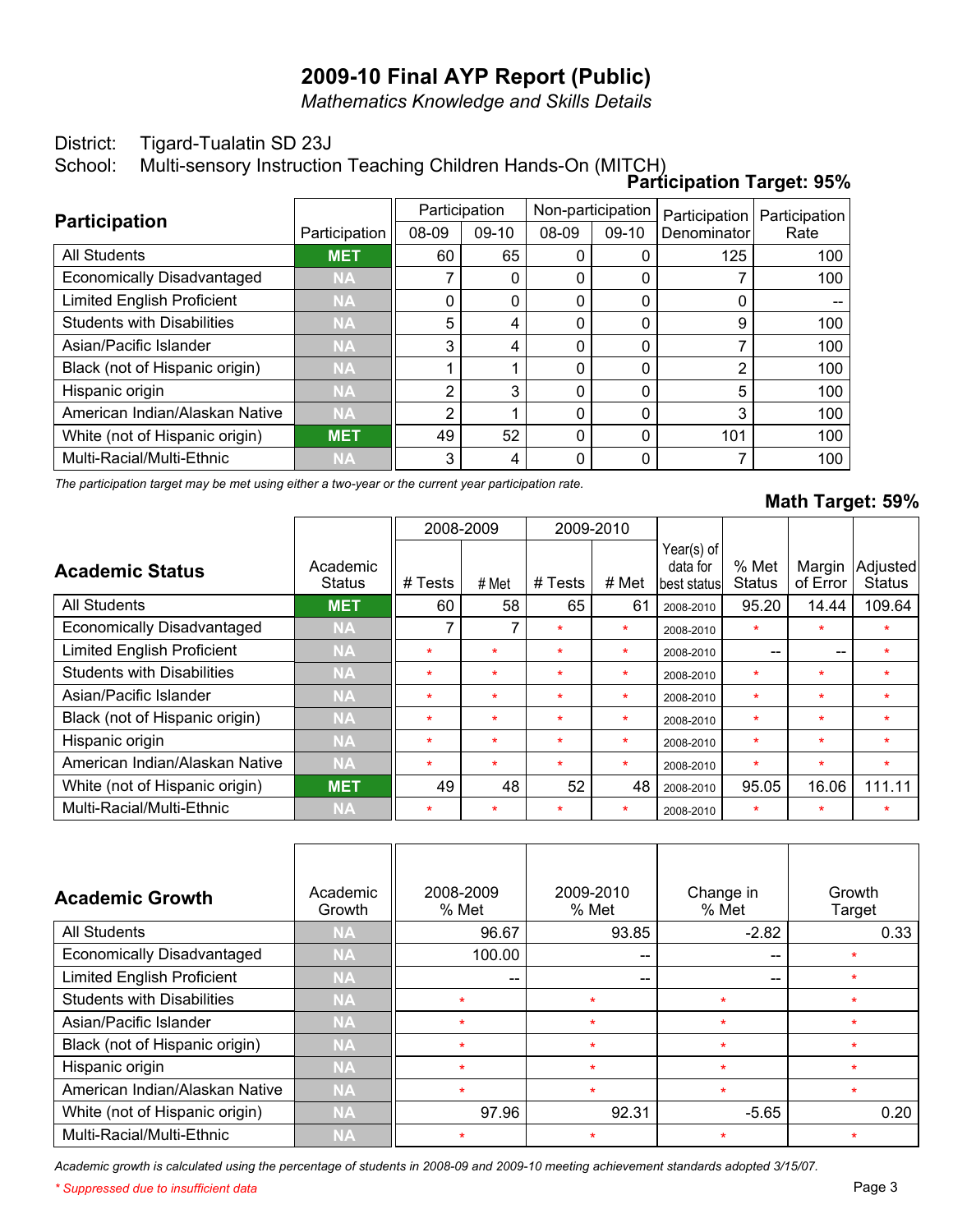*Mathematics Knowledge and Skills Details*

#### District: Tigard-Tualatin SD 23J

School: Multi-sensory Instruction Teaching Children Hands-On (MITCH)

|                                   |               |               |         |                   |          | <b>Participation Target: 95%</b> |               |
|-----------------------------------|---------------|---------------|---------|-------------------|----------|----------------------------------|---------------|
|                                   |               | Participation |         | Non-participation |          | Participation                    | Participation |
| <b>Participation</b>              | Participation | 08-09         | $09-10$ | 08-09             | 09-10    | Denominator                      | Rate          |
| <b>All Students</b>               | <b>MET</b>    | 60            | 65      | 0                 |          | 125                              | 100           |
| <b>Economically Disadvantaged</b> | <b>NA</b>     |               | 0       | 0                 | $\Omega$ |                                  | 100           |
| <b>Limited English Proficient</b> | <b>NA</b>     | 0             | 0       | 0                 | 0        | 0                                |               |
| <b>Students with Disabilities</b> | <b>NA</b>     | 5             | 4       | 0                 | 0        | 9                                | 100           |
| Asian/Pacific Islander            | <b>NA</b>     | 3             | 4       | 0                 | 0        |                                  | 100           |
| Black (not of Hispanic origin)    | <b>NA</b>     |               |         | 0                 | 0        | 2                                | 100           |
| Hispanic origin                   | <b>NA</b>     | 2             | 3       | 0                 | 0        | 5                                | 100           |
| American Indian/Alaskan Native    | <b>NA</b>     | っ             |         | $\Omega$          | 0        | 3                                | 100           |
| White (not of Hispanic origin)    | <b>MET</b>    | 49            | 52      | 0                 | 0        | 101                              | 100           |
| Multi-Racial/Multi-Ethnic         | <b>NA</b>     | 3             | 4       | 0                 | ∩        |                                  | 100           |

*The participation target may be met using either a two-year or the current year participation rate.*

### **Math Target: 59%**

|                                   |                           | 2008-2009 |         |         | 2009-2010 |                                         |                        |                    |                           |
|-----------------------------------|---------------------------|-----------|---------|---------|-----------|-----------------------------------------|------------------------|--------------------|---------------------------|
| <b>Academic Status</b>            | Academic<br><b>Status</b> | # Tests   | # Met   | # Tests | # Met     | Year(s) of<br>data for<br>lbest statusl | % Met<br><b>Status</b> | Margin<br>of Error | Adjusted<br><b>Status</b> |
| <b>All Students</b>               | <b>MET</b>                | 60        | 58      | 65      | 61        | 2008-2010                               | 95.20                  | 14.44              | 109.64                    |
| Economically Disadvantaged        | <b>NA</b>                 | 7         |         | $\star$ | $\star$   | 2008-2010                               | $\star$                | $\star$            | $\star$                   |
| <b>Limited English Proficient</b> | <b>NA</b>                 | $\star$   | $\ast$  | $\star$ | $\star$   | 2008-2010                               | --                     | --                 | $\star$                   |
| <b>Students with Disabilities</b> | <b>NA</b>                 | $\star$   | $\star$ | $\star$ | $\star$   | 2008-2010                               | $\star$                | $\star$            | $\star$                   |
| Asian/Pacific Islander            | <b>NA</b>                 | $\star$   | $\star$ | $\star$ | $\star$   | 2008-2010                               | $\star$                | $\star$            | $\star$                   |
| Black (not of Hispanic origin)    | <b>NA</b>                 | $\star$   | $\star$ | $\star$ | $\star$   | 2008-2010                               | $\star$                | $\star$            | $\star$                   |
| Hispanic origin                   | <b>NA</b>                 | $\star$   | $\star$ | $\star$ | $\star$   | 2008-2010                               | $\ast$                 | $\star$            | $\star$                   |
| American Indian/Alaskan Native    | <b>NA</b>                 | $\star$   | $\star$ | $\star$ | $\star$   | 2008-2010                               | $\star$                | $\star$            | $\star$                   |
| White (not of Hispanic origin)    | <b>MET</b>                | 49        | 48      | 52      | 48        | 2008-2010                               | 95.05                  | 16.06              | 111.11                    |
| Multi-Racial/Multi-Ethnic         | <b>NA</b>                 | $\star$   | $\ast$  | $\ast$  | $\star$   | 2008-2010                               | $\star$                | $\star$            | $\star$                   |

| <b>Academic Growth</b>            | Academic<br>Growth | 2008-2009<br>% Met | 2009-2010<br>% Met | Change in<br>% Met                    | Growth<br>Target |
|-----------------------------------|--------------------|--------------------|--------------------|---------------------------------------|------------------|
| <b>All Students</b>               | <b>NA</b>          | 96.67              | 93.85              | $-2.82$                               | 0.33             |
| <b>Economically Disadvantaged</b> | <b>NA</b>          | 100.00             | $- -$              | $\hspace{0.05cm}$ – $\hspace{0.05cm}$ | $\star$          |
| <b>Limited English Proficient</b> | <b>NA</b>          | $- -$              | --                 | $-$                                   | ÷                |
| <b>Students with Disabilities</b> | <b>NA</b>          | $\star$            | $\star$            | $\star$                               | $\star$          |
| Asian/Pacific Islander            | <b>NA</b>          | $\star$            | $\star$            | $\star$                               | $\star$          |
| Black (not of Hispanic origin)    | <b>NA</b>          | $\star$            | $\star$            | $\star$                               | $\star$          |
| Hispanic origin                   | <b>NA</b>          | $\star$            | $\star$            | $\star$                               | $\star$          |
| American Indian/Alaskan Native    | <b>NA</b>          | $\star$            | $\star$            | $\star$                               | $\star$          |
| White (not of Hispanic origin)    | <b>NA</b>          | 97.96              | 92.31              | $-5.65$                               | 0.20             |
| Multi-Racial/Multi-Ethnic         | <b>NA</b>          | $\star$            | $\ast$             | $\star$                               | $\star$          |

*Academic growth is calculated using the percentage of students in 2008-09 and 2009-10 meeting achievement standards adopted 3/15/07.*